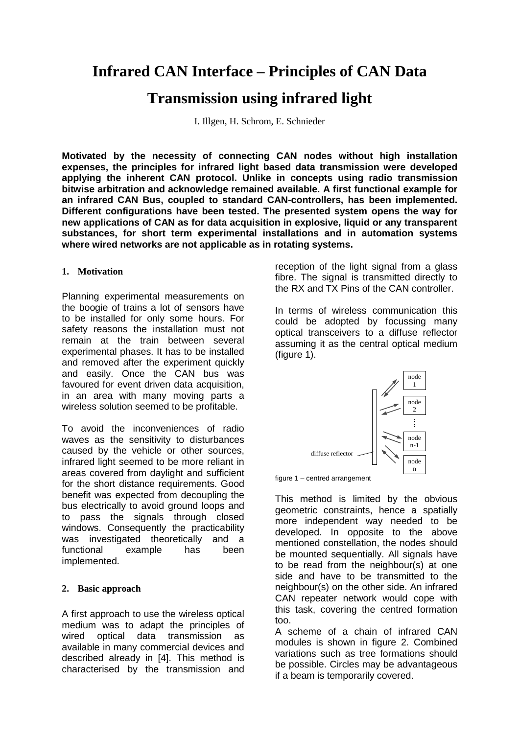# **Infrared CAN Interface – Principles of CAN Data**

## **Transmission using infrared light**

I. Illgen, H. Schrom, E. Schnieder

**Motivated by the necessity of connecting CAN nodes without high installation expenses, the principles for infrared light based data transmission were developed applying the inherent CAN protocol. Unlike in concepts using radio transmission bitwise arbitration and acknowledge remained available. A first functional example for an infrared CAN Bus, coupled to standard CAN-controllers, has been implemented. Different configurations have been tested. The presented system opens the way for new applications of CAN as for data acquisition in explosive, liquid or any transparent substances, for short term experimental installations and in automation systems where wired networks are not applicable as in rotating systems.**

### **1. Motivation**

Planning experimental measurements on the boogie of trains a lot of sensors have to be installed for only some hours. For safety reasons the installation must not remain at the train between several experimental phases. It has to be installed and removed after the experiment quickly and easily. Once the CAN bus was favoured for event driven data acquisition, in an area with many moving parts a wireless solution seemed to be profitable.

To avoid the inconveniences of radio waves as the sensitivity to disturbances caused by the vehicle or other sources, infrared light seemed to be more reliant in areas covered from daylight and sufficient for the short distance requirements. Good benefit was expected from decoupling the bus electrically to avoid ground loops and to pass the signals through closed windows. Consequently the practicability was investigated theoretically and a functional example has been implemented.

### **2. Basic approach**

A first approach to use the wireless optical medium was to adapt the principles of wired optical data transmission as available in many commercial devices and described already in [4]. This method is characterised by the transmission and

reception of the light signal from a glass fibre. The signal is transmitted directly to the RX and TX Pins of the CAN controller.

In terms of wireless communication this could be adopted by focussing many optical transceivers to a diffuse reflector assuming it as the central optical medium (figure 1).



figure 1 – centred arrangement

This method is limited by the obvious geometric constraints, hence a spatially more independent way needed to be developed. In opposite to the above mentioned constellation, the nodes should be mounted sequentially. All signals have to be read from the neighbour(s) at one side and have to be transmitted to the neighbour(s) on the other side. An infrared CAN repeater network would cope with this task, covering the centred formation too.

A scheme of a chain of infrared CAN modules is shown in figure 2. Combined variations such as tree formations should be possible. Circles may be advantageous if a beam is temporarily covered.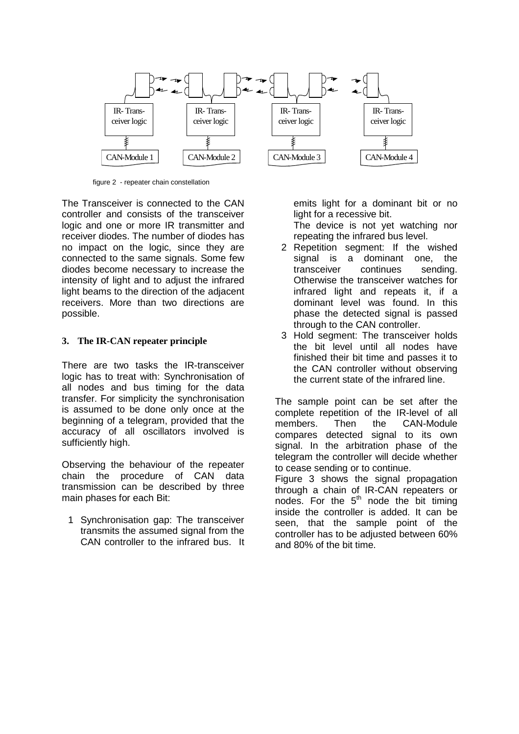

figure 2 - repeater chain constellation

The Transceiver is connected to the CAN controller and consists of the transceiver logic and one or more IR transmitter and receiver diodes. The number of diodes has no impact on the logic, since they are connected to the same signals. Some few diodes become necessary to increase the intensity of light and to adjust the infrared light beams to the direction of the adjacent receivers. More than two directions are possible.

#### **3. The IR-CAN repeater principle**

There are two tasks the IR-transceiver logic has to treat with: Synchronisation of all nodes and bus timing for the data transfer. For simplicity the synchronisation is assumed to be done only once at the beginning of a telegram, provided that the accuracy of all oscillators involved is sufficiently high.

Observing the behaviour of the repeater chain the procedure of CAN data transmission can be described by three main phases for each Bit:

1 Synchronisation gap: The transceiver transmits the assumed signal from the CAN controller to the infrared bus. It

emits light for a dominant bit or no light for a recessive bit.

The device is not yet watching nor repeating the infrared bus level.

- 2 Repetition segment: If the wished signal is a dominant one, the transceiver continues sending. Otherwise the transceiver watches for infrared light and repeats it, if a dominant level was found. In this phase the detected signal is passed through to the CAN controller.
- 3 Hold segment: The transceiver holds the bit level until all nodes have finished their bit time and passes it to the CAN controller without observing the current state of the infrared line.

The sample point can be set after the complete repetition of the IR-level of all members. Then the CAN-Module compares detected signal to its own signal. In the arbitration phase of the telegram the controller will decide whether to cease sending or to continue.

Figure 3 shows the signal propagation through a chain of IR-CAN repeaters or nodes. For the  $5<sup>th</sup>$  node the bit timing inside the controller is added. It can be seen, that the sample point of the controller has to be adjusted between 60% and 80% of the bit time.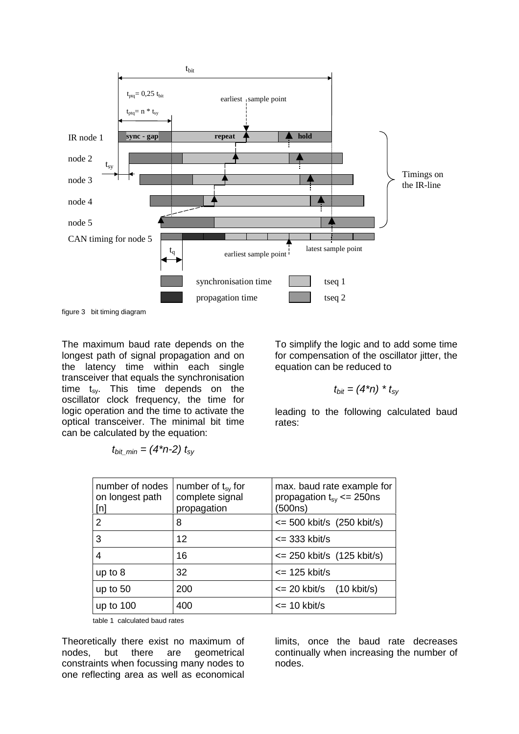

figure 3 bit timing diagram

The maximum baud rate depends on the longest path of signal propagation and on the latency time within each single transceiver that equals the synchronisation time  $t_{sy}$ . This time depends on the oscillator clock frequency, the time for logic operation and the time to activate the optical transceiver. The minimal bit time can be calculated by the equation:

$$
t_{bit\_min} = (4*n-2) t_{sy}
$$

To simplify the logic and to add some time for compensation of the oscillator jitter, the equation can be reduced to

$$
t_{bit} = (4^*n)^* t_{sy}
$$

leading to the following calculated baud rates:

| number of nodes<br>on longest path<br>[n] | number of $t_{sv}$ for<br>complete signal<br>propagation | max. baud rate example for<br>propagation $t_{\rm sv} \leq 250$ ns<br>(500ns) |
|-------------------------------------------|----------------------------------------------------------|-------------------------------------------------------------------------------|
| 2                                         | 8                                                        | $\epsilon$ = 500 kbit/s (250 kbit/s)                                          |
| 3                                         | 12                                                       | $\epsilon$ = 333 kbit/s                                                       |
| 4                                         | 16                                                       | $\epsilon$ = 250 kbit/s (125 kbit/s)                                          |
| up to $8$                                 | 32                                                       | $\epsilon$ = 125 kbit/s                                                       |
| up to $50$                                | 200                                                      | $\epsilon$ = 20 kbit/s (10 kbit/s)                                            |
| up to $100$                               | 400                                                      | $\epsilon$ = 10 kbit/s                                                        |

table 1 calculated baud rates

Theoretically there exist no maximum of nodes, but there are geometrical constraints when focussing many nodes to one reflecting area as well as economical

limits, once the baud rate decreases continually when increasing the number of nodes.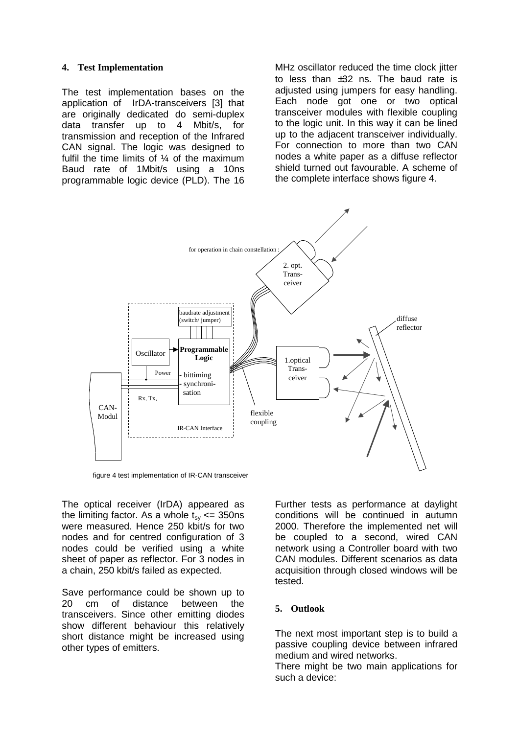#### **4. Test Implementation**

The test implementation bases on the application of IrDA-transceivers [3] that are originally dedicated do semi-duplex data transfer up to 4 Mbit/s, for transmission and reception of the Infrared CAN signal. The logic was designed to fulfil the time limits of ¼ of the maximum Baud rate of 1Mbit/s using a 10ns programmable logic device (PLD). The 16

MHz oscillator reduced the time clock jitter to less than  $\pm 32$  ns. The baud rate is adjusted using jumpers for easy handling. Each node got one or two optical transceiver modules with flexible coupling to the logic unit. In this way it can be lined up to the adjacent transceiver individually. For connection to more than two CAN nodes a white paper as a diffuse reflector shield turned out favourable. A scheme of the complete interface shows figure 4.



figure 4 test implementation of IR-CAN transceiver

The optical receiver (IrDA) appeared as the limiting factor. As a whole  $t_{sv} \le 350$ ns were measured. Hence 250 kbit/s for two nodes and for centred configuration of 3 nodes could be verified using a white sheet of paper as reflector. For 3 nodes in a chain, 250 kbit/s failed as expected.

Save performance could be shown up to<br>20 cm of distance between the 20 cm of distance between the transceivers. Since other emitting diodes show different behaviour this relatively short distance might be increased using other types of emitters.

Further tests as performance at daylight conditions will be continued in autumn 2000. Therefore the implemented net will be coupled to a second, wired CAN network using a Controller board with two CAN modules. Different scenarios as data acquisition through closed windows will be tested.

#### **5. Outlook**

The next most important step is to build a passive coupling device between infrared medium and wired networks.

There might be two main applications for such a device: